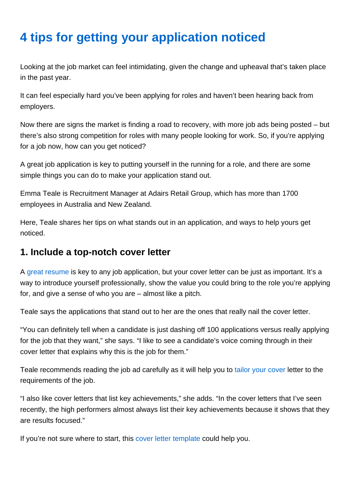# 4 tips for getting your application noticed

Looking at the job market can feel intimidating, given the change and upheaval that's taken place in the past year.

It can feel especially hard you've been applying for roles and haven't been hearing back from employers.

Now there are signs the market is finding a road to recovery, with more job ads being posted – but there's also strong competition for roles with many people looking for work. So, if you're applying for a job now, how can you get noticed?

A great job application is key to putting yourself in the running for a role, and there are some simple things you can do to make your application stand out.

Emma Teale is Recruitment Manager at Adairs Retail Group, which has more than 1700 employees in Australia and New Zealand.

Here, Teale shares her tips on what stands out in an application, and ways to help yours get noticed.

#### 1. Include a top-notch cover letter

A [great resume](https://www.seek.co.nz/career-advice/article/free-resume-template) is key to any job application, but your cover letter can be just as important. It's a way to introduce yourself professionally, show the value you could bring to the role you're applying for, and give a sense of who you are – almost like a pitch.

Teale says the applications that stand out to her are the ones that really nail the cover letter.

"You can definitely tell when a candidate is just dashing off 100 applications versus really applying for the job that they want," she says. "I like to see a candidate's voice coming through in their cover letter that explains why this is the job for them."

Teale recommends reading the job ad carefully as it will help you to [tailor your cover](https://www.seek.co.nz/career-advice/article/how-to-tailor-your-cover-letter-to-the-job) letter to the requirements of the job.

"I also like cover letters that list key achievements," she adds. "In the cover letters that I've seen recently, the high performers almost always list their key achievements because it shows that they are results focused."

If you're not sure where to start, this [cover letter template](https://www.seek.co.nz/career-advice/article/free-cover-letter-template) could help you.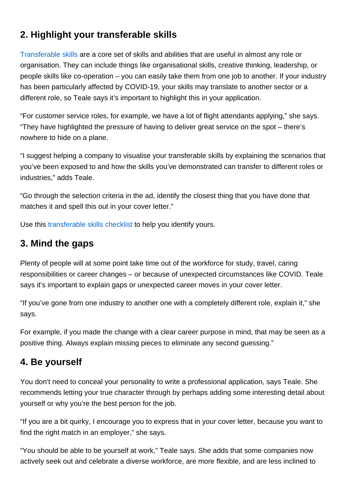## 2. Highlight your transferable skills

[Transferable skills](https://www.seek.co.nz/career-advice/article/are-transferable-skills-the-new-experience) are a core set of skills and abilities that are useful in almost any role or organisation. They can include things like organisational skills, creative thinking, leadership, or people skills like co-operation – you can easily take them from one job to another. If your industry has been particularly affected by COVID-19, your skills may translate to another sector or a different role, so Teale says it's important to highlight this in your application.

"For customer service roles, for example, we have a lot of flight attendants applying," she says. "They have highlighted the pressure of having to deliver great service on the spot – there's nowhere to hide on a plane.

"I suggest helping a company to visualise your transferable skills by explaining the scenarios that you've been exposed to and how the skills you've demonstrated can transfer to different roles or industries," adds Teale.

"Go through the selection criteria in the ad, identify the closest thing that you have done that matches it and spell this out in your cover letter."

Use this [transferable skills checklist](https://www.seek.co.nz/career-advice/article/transferable-skills-checklist) to help you identify yours.

#### 3. Mind the gaps

Plenty of people will at some point take time out of the workforce for study, travel, caring responsibilities or career changes – or because of unexpected circumstances like COVID. Teale says it's important to explain gaps or unexpected career moves in your cover letter.

"If you've gone from one industry to another one with a completely different role, explain it," she says.

For example, if you made the change with a clear career purpose in mind, that may be seen as a positive thing. Always explain missing pieces to eliminate any second guessing."

#### 4. Be yourself

You don't need to conceal your personality to write a professional application, says Teale. She recommends letting your true character through by perhaps adding some interesting detail about yourself or why you're the best person for the job.

"If you are a bit quirky, I encourage you to express that in your cover letter, because you want to find the right match in an employer," she says.

"You should be able to be yourself at work," Teale says. She adds that some companies now actively seek out and celebrate a diverse workforce, are more flexible, and are less inclined to